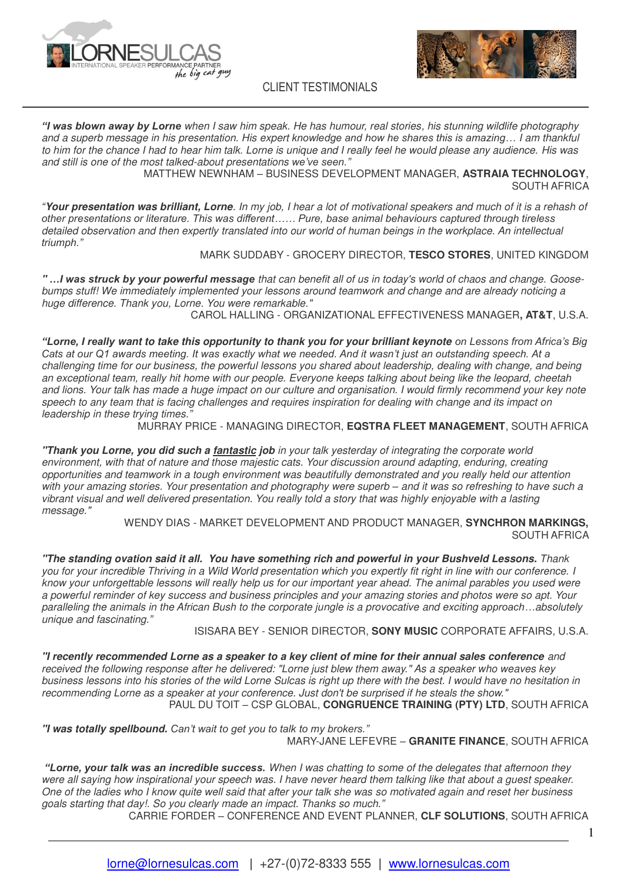



*"I was blown away by Lorne* when I saw him speak. He has humour, real stories, his stunning wildlife photography and a superb message in his presentation. His expert *knowledge and how he shares this is amazing…* I am thankful to him for the chance I had to hear him talk. Lorne is unique and I really feel he would please any audience. His was and still is one of the most talked-about presentations *we've seen."* 

 $\mathcal{L}_\text{max}$  and  $\mathcal{L}_\text{max}$  are the set of the set of the set of the set of the set of the set of the set of the set of the set of the set of the set of the set of the set of the set of the set of the set of the set o

MATTHEW NEWNHAM – BUSINESS DEVELOPMENT MANAGER, **ASTRAIA TECHNOLOGY**, SOUTH AFRICA

*"***Your presentation was brilliant, Lorne**. In my job, I hear a lot of motivational speakers and much of it is a rehash of *other presentations or literature. This was different…… Pure, base animal behaviours captured through tireless*  detailed observation and then expertly translated into our world of human beings in the workplace. An intellectual *triumph."*

### MARK SUDDABY - GROCERY DIRECTOR, **TESCO STORES**, UNITED KINGDOM

**"** *…I was struck by your powerful message* that can benefit all of us in today's world of chaos and change. Goosebumps stuff! We immediately implemented your lessons around teamwork and change and are already noticing a huge difference. Thank you, Lorne. You were remarkable."

CAROL HALLING - ORGANIZATIONAL EFFECTIVENESS MANAGER**, AT&T**, U.S.A.

*"Lorne, I really* **want to take this opportunity to thank you for your brilliant keynote** *on Lessons from Africa's Big Cats at our Q1 awards meeting. It was exactly what we needed. And it wasn't just an outstanding speech. At a*  challenging time for our business, the powerful lessons you shared about leadership, dealing with change, and being an exceptional team, really hit home with our people. Everyone keeps talking about being like the leopard, cheetah and lions. Your talk has made a huge impact on our culture and organisation. I would firmly recommend your key note speech to any team that is facing challenges and requires inspiration for dealing with change and its impact on leadership in these trying times.*"*

MURRAY PRICE - MANAGING DIRECTOR, **EQSTRA FLEET MANAGEMENT**, SOUTH AFRICA

**"Thank you Lorne, you did such a fantastic job** in your talk yesterday of integrating the corporate world environment, with that of nature and those majestic cats. Your discussion around adapting, enduring, creating opportunities and teamwork in a tough environment was beautifully demonstrated and you really held our attention with your amazing stories. Your presentation and photography were superb *–* and it was so refreshing to have such a vibrant visual and well delivered presentation. You really told a story that was highly enjoyable with a lasting message."

> WENDY DIAS - MARKET DEVELOPMENT AND PRODUCT MANAGER, **SYNCHRON MARKINGS,** SOUTH AFRICA

**"The standing ovation said it all. You have something rich and powerful in your Bushveld Lessons.** Thank you for your incredible Thriving in a Wild World presentation which you expertly fit right in line with our conference. I know your unforgettable lessons will really help us for our important year ahead. The animal parables you used were a powerful reminder of key success and business principles and your amazing stories and photos were so apt. Your paralleling the animals in the African Bush to the corporate jungle is a provocative and exciting *approach…*absolutely unique and fascinating.*"*

### ISISARA BEY - SENIOR DIRECTOR, **SONY MUSIC** CORPORATE AFFAIRS, U.S.A.

**"I recently recommended Lorne as a speaker to a key client of mine for their annual sales conference** and received the following response after he delivered: "Lorne just blew them away." As a speaker who weaves key business lessons into his stories of the wild Lorne Sulcas is right up there with the best. I would have no hesitation in recommending Lorne as a speaker at your conference. Just don't be surprised if he steals the show." PAUL DU TOIT – CSP GLOBAL, **CONGRUENCE TRAINING (PTY) LTD**, SOUTH AFRICA

**"I was totally spellbound.** *Can't wait to get you to talk to my brokers."*  MARY-JANE LEFEVRE – **GRANITE FINANCE**, SOUTH AFRICA

*"Lorne, your talk was an incredible success.* When I was chatting to some of the delegates that afternoon they were all saying how inspirational your speech was. I have never heard them talking like that about a guest speaker. One of the ladies who I know quite well said that after your talk she was so motivated again and reset her business goals starting that day!. So you clearly made an impact. Thanks so much.*"*

CARRIE FORDER – CONFERENCE AND EVENT PLANNER, **CLF SOLUTIONS**, SOUTH AFRICA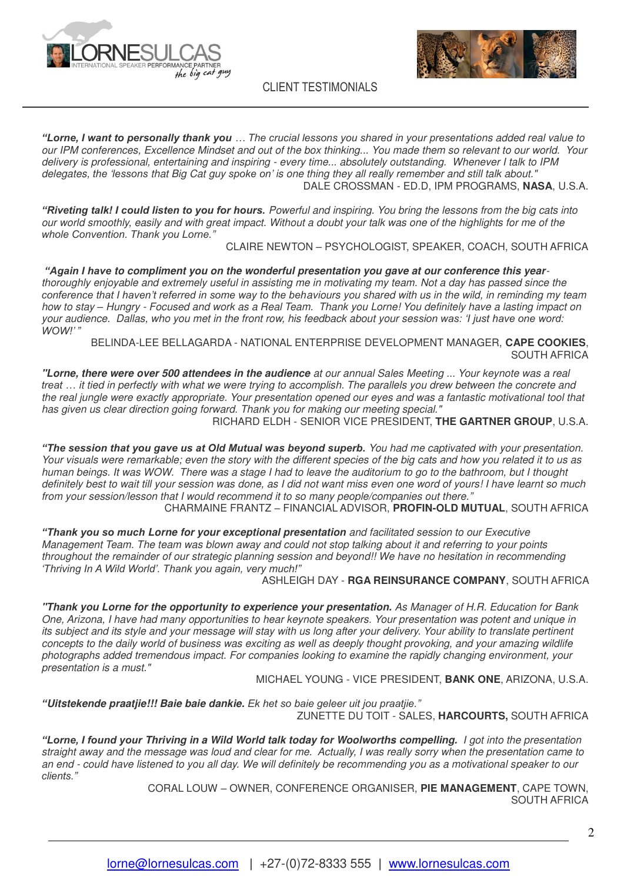



 $\mathcal{L}_\text{max}$  and  $\mathcal{L}_\text{max}$  are the set of the set of the set of the set of the set of the set of the set of the set of the set of the set of the set of the set of the set of the set of the set of the set of the set o

*"Lorne, I want to personally thank you … The crucial lessons you shared in your presentati*ons added real value to our IPM conferences, Excellence Mindset and out of the box thinking... You made them so relevant to our world. Your delivery is professional, entertaining and inspiring - every time... absolutely outstanding. Whenever I talk to IPM delegates, *the 'lessons* that Big Cat guy *spoke on'* is one thing they all really remember and still talk about." DALE CROSSMAN - ED.D, IPM PROGRAMS, **NASA**, U.S.A.

*"Riveting talk! I could listen to you for hours.* Powerful and inspiring. You bring the lessons from the big cats into our world smoothly, easily and with great impact. Without a doubt your talk was one of the highlights for me of the *whole Convention. Thank you Lorne."* 

CLAIRE NEWTON – PSYCHOLOGIST, SPEAKER, COACH, SOUTH AFRICA

*"Again I have* **to compliment you on the wonderful presentation you gave at our conference this year**thoroughly enjoyable and extremely useful in assisting me in motivating my team. Not a day has passed since the *conference that I haven't referred in some way to the beh*aviours you shared with us in the wild, in reminding my team how to stay *–* Hungry - Focused and work as a Real Team. Thank you Lorne! You definitely have a lasting impact on your audience. Dallas, who you met in the front row, his feedback about your ses*sion was: 'I just have one word: WOW!' "* 

BELINDA-LEE BELLAGARDA - NATIONAL ENTERPRISE DEVELOPMENT MANAGER, **CAPE COOKIES**, SOUTH AFRICA

**"Lorne, there were over 500 attendees in the audience** at our annual Sales Meeting ... Your keynote was a real *treat …* it tied in perfectly with what we were trying to accomplish. The parallels you drew between the concrete and the real jungle were exactly appropriate. Your presentation opened our eyes and was a fantastic motivational tool that has given us clear direction going forward. Thank you for making our meeting special."

RICHARD ELDH - SENIOR VICE PRESIDENT, **THE GARTNER GROUP**, U.S.A.

*"The session that you gave us at Old Mutual was beyond superb.* You had me captivated with your presentation. Your visuals were remarkable; even the story with the different species of the big cats and how you related it to us as human beings. It was WOW. There was a stage I had to leave the auditorium to go to the bathroom, but I thought definitely best to wait till your session was done, as I did not want miss even one word of yours! I have learnt so much from your session/lesson that I would recommend it to so many people/companies out there.*"*

CHARMAINE FRANTZ – FINANCIAL ADVISOR, **PROFIN-OLD MUTUAL**, SOUTH AFRICA

*"Thank you so much* **Lorne for your exceptional presentation** and facilitated session to our Executive Management Team. The team was blown away and could not stop talking about it and referring to your points throughout the remainder of our strategic planning session and beyond!! We have no hesitation in recommending *'Thriving In A Wild World'. Thank you again, very much!"*

ASHLEIGH DAY - **RGA REINSURANCE COMPANY**, SOUTH AFRICA

**"Thank you Lorne for the opportunity to experience your presentation.** As Manager of H.R. Education for Bank One, Arizona, I have had many opportunities to hear keynote speakers. Your presentation was potent and unique in its subject and its style and your message will stay with us long after your delivery. Your ability to translate pertinent concepts to the daily world of business was exciting as well as deeply thought provoking, and your amazing wildlife photographs added tremendous impact. For companies looking to examine the rapidly changing environment, your presentation is a must."

MICHAEL YOUNG - VICE PRESIDENT, **BANK ONE**, ARIZONA, U.S.A.

*"***Uitstekende praatjie!!! Baie baie dankie.** *Ek het so baie geleer uit jou praatjie."* ZUNETTE DU TOIT - SALES, **HARCOURTS,** SOUTH AFRICA

*"Lorne, I found your* **Thriving in a Wild World talk today for Woolworths compelling.** I got into the presentation straight away and the message was loud and clear for me. Actually, I was really sorry when the presentation came to an end - could have listened to you all day. We will definitely be recommending you as a motivational speaker to our *clients."* 

> CORAL LOUW – OWNER, CONFERENCE ORGANISER, **PIE MANAGEMENT**, CAPE TOWN, SOUTH AFRICA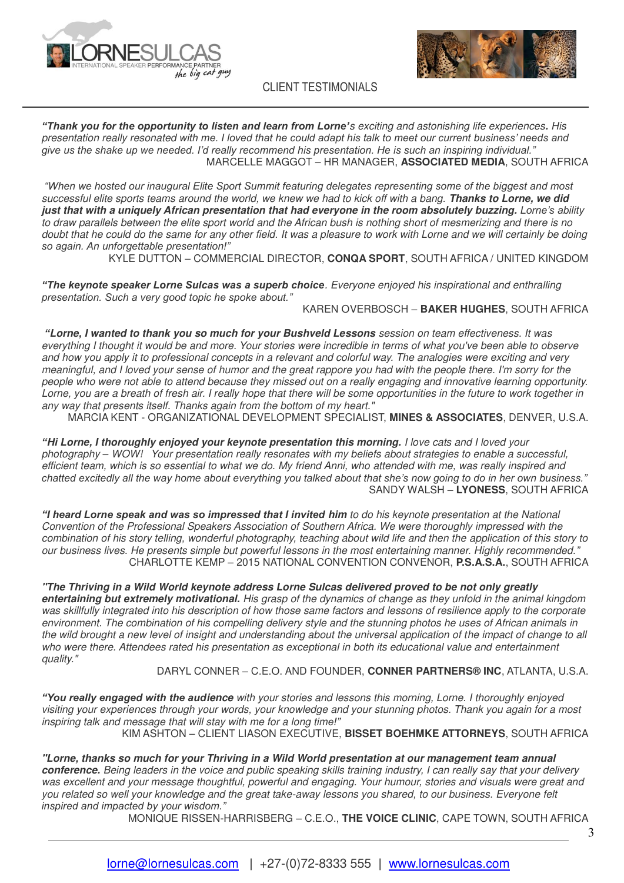



*"Thank you for the opportunity to listen and learn from Lorne'*s exciting and astonishing life experiences**.** His presentation really resonated *with me. I loved that he could adapt his talk to meet our current business' needs and give us the shake up we needed. I'd really recommend his presentation. He is such an inspiring individual."*  MARCELLE MAGGOT – HR MANAGER, **ASSOCIATED MEDIA**, SOUTH AFRICA

 $\mathcal{L}_\text{max}$  and  $\mathcal{L}_\text{max}$  are the set of the set of the set of the set of the set of the set of the set of the set of the set of the set of the set of the set of the set of the set of the set of the set of the set o

*"When we hosted our inaugural Elite Sport Summit featuring delegates representing some of the biggest and most*  successful elite sports teams around the world, we knew we had to kick off with a bang. **Thanks to Lorne, we did just that with a uniquely African presentation that had everyone in the room absolutely buzzing.** *Lorne's ability*  to draw parallels between the elite sport world and the African bush is nothing short of mesmerizing and there is no doubt that he could do the same for any other field. It was a pleasure to work with Lorne and we will certainly be doing *so again. An unforgettable presentation!"*

KYLE DUTTON – COMMERCIAL DIRECTOR, **CONQA SPORT**, SOUTH AFRICA / UNITED KINGDOM

*"The keynote speaker Lorne Sulcas was a superb choice*. Everyone enjoyed his inspirational and enthralling *presentation. Such a very good topic he spoke about."*

KAREN OVERBOSCH – **BAKER HUGHES**, SOUTH AFRICA

*"***Lorne, I wanted to thank you so much for your Bushveld Lessons** session on team effectiveness. It was everything I thought it would be and more. Your stories were incredible in terms of what you've been able to observe and how you apply it to professional concepts in a relevant and colorful way. The analogies were exciting and very meaningful, and I loved your sense of humor and the great rappore you had with the people there. I'm sorry for the people who were not able to attend because they missed out on a really engaging and innovative learning opportunity. Lorne, you are a breath of fresh air. I really hope that there will be some opportunities in the future to work together in any way that presents itself. Thanks again from the bottom of my heart."

MARCIA KENT - ORGANIZATIONAL DEVELOPMENT SPECIALIST, **MINES & ASSOCIATES**, DENVER, U.S.A.

*"***Hi Lorne, I thoroughly enjoyed your keynote presentation this morning.** I love cats and I loved your photography *–* WOW! Your presentation really resonates with my beliefs about strategies to enable a successful, efficient team, which is so essential to what we do. My friend Anni, who attended with me, was really inspired and *chatted excitedly all the way home about everything you talked about that she's now going to do in her own business."*  SANDY WALSH – **LYONESS**, SOUTH AFRICA

*"I heard Lorne speak and was so impressed that I invited* **him** to do his keynote presentation at the National Convention of the Professional Speakers Association of Southern Africa. We were thoroughly impressed with the combination of his story telling, wonderful photography, teaching about wild life and then the application of this story to our business lives. He presents simple but powerful lessons in the most entertaining manner. Highly recommended.*"* CHARLOTTE KEMP – 2015 NATIONAL CONVENTION CONVENOR, **P.S.A.S.A.**, SOUTH AFRICA

**"The Thriving in a Wild World keynote address Lorne Sulcas delivered proved to be not only greatly entertaining but extremely motivational.** His grasp of the dynamics of change as they unfold in the animal kingdom was skillfully integrated into his description of how those same factors and lessons of resilience apply to the corporate environment. The combination of his compelling delivery style and the stunning photos he uses of African animals in the wild brought a new level of insight and understanding about the universal application of the impact of change to all who were there. Attendees rated his presentation as exceptional in both its educational value and entertainment quality."

## DARYL CONNER – C.E.O. AND FOUNDER, **CONNER PARTNERS® INC**, ATLANTA, U.S.A.

*"You really engaged with the aud***ience** with your stories and lessons this morning, Lorne. I thoroughly enjoyed visiting your experiences through your words, your knowledge and your stunning photos. Thank you again for a most inspiring talk and message that will stay with me for a long tim*e!"*

KIM ASHTON – CLIENT LIASON EXECUTIVE, **BISSET BOEHMKE ATTORNEYS**, SOUTH AFRICA

**"Lorne, thanks so much for your Thriving in a Wild World presentation at our management team annual conference.** Being leaders in the voice and public speaking skills training industry, I can really say that your delivery was excellent and your message thoughtful, powerful and engaging. Your humour, stories and visuals were great and you related so well your knowledge and the great take-away lessons you shared, to our business. Everyone felt *inspired and impacted by your wisdom."* 

MONIQUE RISSEN-HARRISBERG – C.E.O., **THE VOICE CLINIC**, CAPE TOWN, SOUTH AFRICA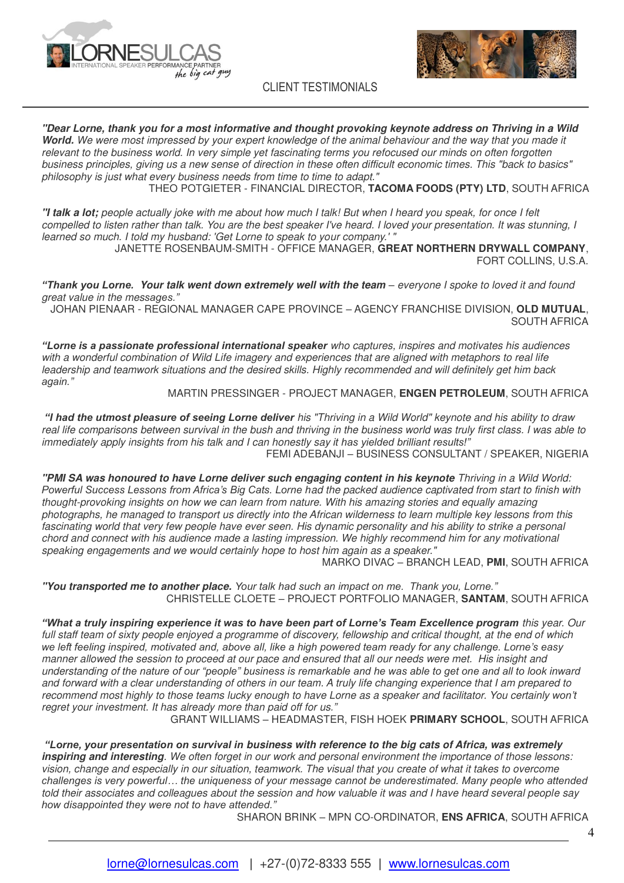



**"Dear Lorne, thank you for a most informative and thought provoking keynote address on Thriving in a Wild World.** We were most impressed by your expert knowledge of the animal behaviour and the way that you made it relevant to the business world. In very simple yet fascinating terms you refocused our minds on often forgotten business principles, giving us a new sense of direction in these often difficult economic times. This "back to basics" philosophy is just what every business needs from time to time to adapt."

 $\mathcal{L}_\text{max}$  and  $\mathcal{L}_\text{max}$  are the set of the set of the set of the set of the set of the set of the set of the set of the set of the set of the set of the set of the set of the set of the set of the set of the set o

THEO POTGIETER - FINANCIAL DIRECTOR, **TACOMA FOODS (PTY) LTD**, SOUTH AFRICA

**"I talk a lot;** people actually joke with me about how much I talk! But when I heard you speak, for once I felt compelled to listen rather than talk. You are the best speaker I've heard. I loved your presentation. It was stunning, I learned so much. I told my husband: 'Get Lorne to speak to your company.' "

JANETTE ROSENBAUM-SMITH - OFFICE MANAGER, **GREAT NORTHERN DRYWALL COMPANY**, FORT COLLINS, U.S.A.

*"Thank you Lorne.* **Your talk went down extremely well with the team** *–* everyone I spoke to loved it and found great value in the mes*sages."*

JOHAN PIENAAR - REGIONAL MANAGER CAPE PROVINCE – AGENCY FRANCHISE DIVISION, **OLD MUTUAL**, SOUTH AFRICA

*"Lorne is a passionate professional international speaker* who captures, inspires and motivates his audiences with a wonderful combination of Wild Life imagery and experiences that are aligned with metaphors to real life leadership and teamwork situations and the desired skills. Highly recommended and will definitely get him back *again."*

#### [MARTIN PRESSINGER](https://www.linkedin.com/profile/view?id=AAEAAAAV9PwB4OPUF-47Og0Dog_uMFtw_Uy2KVA&authType=name&authToken=RSFT) - PROJECT MANAGER, **ENGEN PETROLEUM**, SOUTH AFRICA

*"I had the utmost pleasure of seeing Lorne deliver* his "Thriving in a Wild World" keynote and his ability to draw real life comparisons between survival in the bush and thriving in the business world was truly first class. I was able to immediately apply insights from his talk and I can honestly say *it has yielded brilliant results!"* FEMI ADEBANJI – BUSINESS CONSULTANT / SPEAKER, NIGERIA

**"PMI SA was honoured to have Lorne deliver such engaging content in his keynote** Thriving in a Wild World: *Powerful Success Lessons from Africa's Big Cats. Lorne h*ad the packed audience captivated from start to finish with thought-provoking insights on how we can learn from nature. With his amazing stories and equally amazing photographs, he managed to transport us directly into the African wilderness to learn multiple key lessons from this fascinating world that very few people have ever seen. His dynamic personality and his ability to strike a personal chord and connect with his audience made a lasting impression. We highly recommend him for any motivational speaking engagements and we would certainly hope to host him again as a speaker."

MARKO DIVAC – BRANCH LEAD, **PMI**, SOUTH AFRICA

**"You transported me to another place.** *Your talk had such an impact on me. Thank you, Lorne."*  CHRISTELLE CLOETE – PROJECT PORTFOLIO MANAGER, **SANTAM**, SOUTH AFRICA

*"What a truly inspiring experience it was to have been part of Lorne's Team Excellence program* this year. Our full staff team of sixty people enjoyed a programme of discovery, fellowship and critical thought, at the end of which *we left feeling inspired, motivated and, above all, like a high powered team ready for any challenge. Lorne's easy*  manner allowed the session to proceed at our pace and ensured that all our needs were met. His insight and understanding of *the nature of our "people" business is remarkable and he was able to get one and all to look inward*  and forward with a clear understanding of others in our team. A truly life changing experience that I am prepared to recommend most highly to those teams lucky enough to have Lorne as a speaker and facilitator. You certainly *won't*  regret your investment. It has already more than paid off for us*."* 

GRANT WILLIAMS – HEADMASTER, FISH HOEK **PRIMARY SCHOOL**, SOUTH AFRICA

*"Lorne, your presentation on survival in* **business with reference to the big cats of Africa, was extremely inspiring and interesting**. We often forget in our work and personal environment the importance of those lessons: vision, change and especially in our situation, teamwork. The visual that you create of what it takes to overcome *challenges is very powerful… the uniqueness of your message cannot be underestimated. Many people who attended*  told their associates and colleagues about the session and how valuable it was and I have heard several people say *how disappointed they were not to have attended."* 

SHARON BRINK – MPN CO-ORDINATOR, **ENS AFRICA**, SOUTH AFRICA